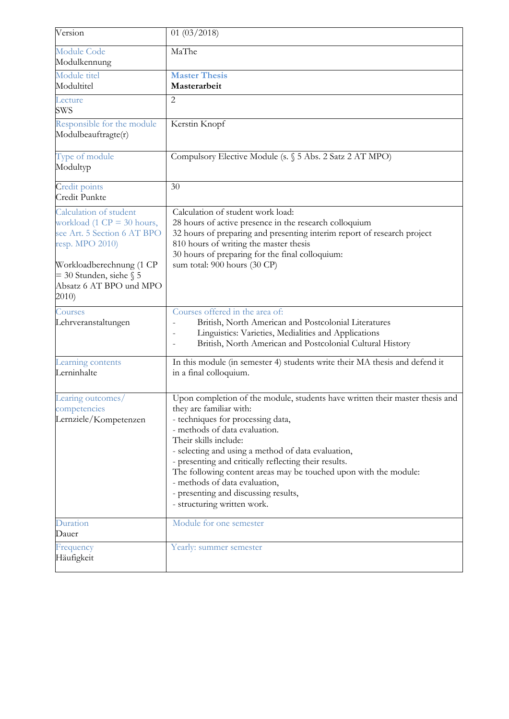| Version                                                                                                                                                                                               | 01(03/2018)                                                                                                                                                                                                                                                                                                                                                                                                                                                                                       |
|-------------------------------------------------------------------------------------------------------------------------------------------------------------------------------------------------------|---------------------------------------------------------------------------------------------------------------------------------------------------------------------------------------------------------------------------------------------------------------------------------------------------------------------------------------------------------------------------------------------------------------------------------------------------------------------------------------------------|
| <b>Module Code</b><br>Modulkennung                                                                                                                                                                    | MaThe                                                                                                                                                                                                                                                                                                                                                                                                                                                                                             |
| Module titel<br>Modultitel                                                                                                                                                                            | <b>Master Thesis</b><br>Masterarbeit                                                                                                                                                                                                                                                                                                                                                                                                                                                              |
| Lecture<br><b>SWS</b>                                                                                                                                                                                 | $\overline{2}$                                                                                                                                                                                                                                                                                                                                                                                                                                                                                    |
| Responsible for the module<br>Modulbeauftragte(r)                                                                                                                                                     | Kerstin Knopf                                                                                                                                                                                                                                                                                                                                                                                                                                                                                     |
| Type of module<br>Modultyp                                                                                                                                                                            | Compulsory Elective Module (s. § 5 Abs. 2 Satz 2 AT MPO)                                                                                                                                                                                                                                                                                                                                                                                                                                          |
| Credit points<br>Credit Punkte                                                                                                                                                                        | 30                                                                                                                                                                                                                                                                                                                                                                                                                                                                                                |
| Calculation of student<br>workload (1 $CP = 30$ hours,<br>see Art. 5 Section 6 AT BPO<br>resp. MPO 2010)<br>Workloadberechnung (1 CP<br>$=$ 30 Stunden, siehe § 5<br>Absatz 6 AT BPO und MPO<br>2010) | Calculation of student work load:<br>28 hours of active presence in the research colloquium<br>32 hours of preparing and presenting interim report of research project<br>810 hours of writing the master thesis<br>30 hours of preparing for the final colloquium:<br>sum total: 900 hours (30 CP)                                                                                                                                                                                               |
| Courses<br>Lehrveranstaltungen                                                                                                                                                                        | Courses offered in the area of:<br>British, North American and Postcolonial Literatures<br>Linguistics: Varieties, Medialities and Applications<br>$\overline{\phantom{a}}$<br>British, North American and Postcolonial Cultural History<br>$\overline{\phantom{a}}$                                                                                                                                                                                                                              |
| Learning contents<br>Lerninhalte                                                                                                                                                                      | In this module (in semester 4) students write their MA thesis and defend it<br>in a final colloquium.                                                                                                                                                                                                                                                                                                                                                                                             |
| Learing outcomes/<br>competencies<br>Lernziele/Kompetenzen                                                                                                                                            | Upon completion of the module, students have written their master thesis and<br>they are familiar with:<br>- techniques for processing data,<br>- methods of data evaluation.<br>Their skills include:<br>- selecting and using a method of data evaluation,<br>- presenting and critically reflecting their results.<br>The following content areas may be touched upon with the module:<br>- methods of data evaluation,<br>- presenting and discussing results,<br>- structuring written work. |
| Duration<br>Dauer                                                                                                                                                                                     | Module for one semester                                                                                                                                                                                                                                                                                                                                                                                                                                                                           |
| Frequency<br>Häufigkeit                                                                                                                                                                               | Yearly: summer semester                                                                                                                                                                                                                                                                                                                                                                                                                                                                           |